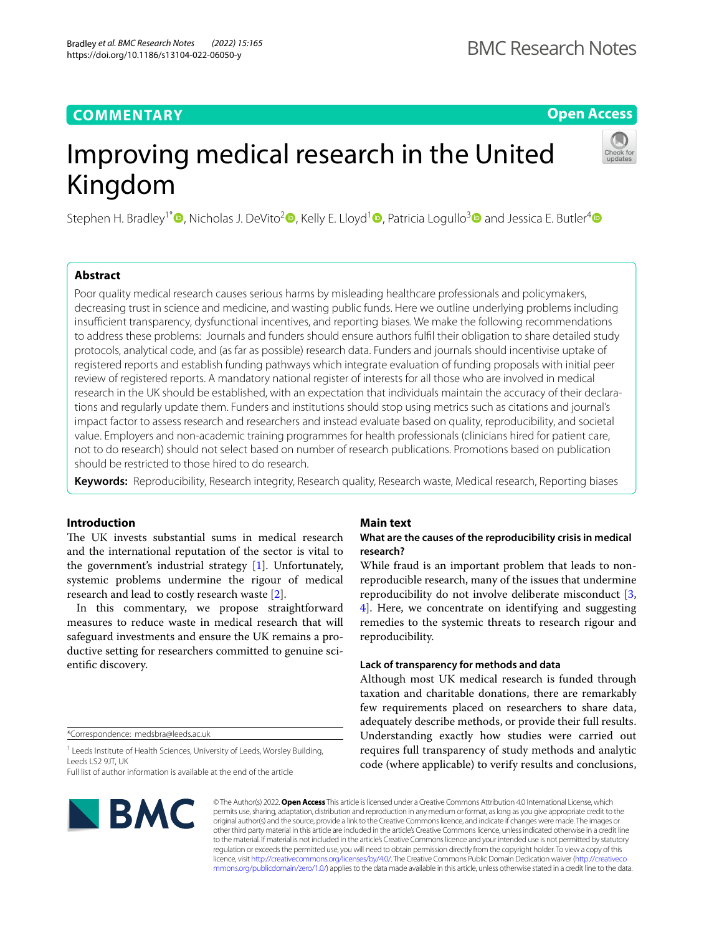# **COMMENTARY**

**Open Access**

# Improving medical research in the United Kingdom

Stephen H. Bradley<sup>1\*</sup><sup>O</sup>[,](http://orcid.org/0000-0001-8286-1995) Nicholas J. DeVito<sup>2</sup><sup>O</sup>, Kelly E. Lloyd<sup>[1](http://orcid.org/0000-0002-0420-2342)</sup><sup>O</sup>, Patricia Logullo<sup>3</sup><sup>O</sup> and Jessica E. Butler<sup>4</sup><sup>O</sup>

# **Abstract**

Poor quality medical research causes serious harms by misleading healthcare professionals and policymakers, decreasing trust in science and medicine, and wasting public funds. Here we outline underlying problems including insufficient transparency, dysfunctional incentives, and reporting biases. We make the following recommendations to address these problems: Journals and funders should ensure authors fulfl their obligation to share detailed study protocols, analytical code, and (as far as possible) research data. Funders and journals should incentivise uptake of registered reports and establish funding pathways which integrate evaluation of funding proposals with initial peer review of registered reports. A mandatory national register of interests for all those who are involved in medical research in the UK should be established, with an expectation that individuals maintain the accuracy of their declarations and regularly update them. Funders and institutions should stop using metrics such as citations and journal's impact factor to assess research and researchers and instead evaluate based on quality, reproducibility, and societal value. Employers and non-academic training programmes for health professionals (clinicians hired for patient care, not to do research) should not select based on number of research publications. Promotions based on publication should be restricted to those hired to do research.

**Keywords:** Reproducibility, Research integrity, Research quality, Research waste, Medical research, Reporting biases

## **Introduction**

The UK invests substantial sums in medical research and the international reputation of the sector is vital to the government's industrial strategy [[1\]](#page-4-0). Unfortunately, systemic problems undermine the rigour of medical research and lead to costly research waste [\[2](#page-4-1)].

In this commentary, we propose straightforward measures to reduce waste in medical research that will safeguard investments and ensure the UK remains a productive setting for researchers committed to genuine scientifc discovery.

\*Correspondence: medsbra@leeds.ac.uk

<sup>1</sup> Leeds Institute of Health Sciences, University of Leeds, Worsley Building, Leeds LS2 9JT, UK

Full list of author information is available at the end of the article

# **BMC**

### **Main text**

# **What are the causes of the reproducibility crisis in medical research?**

While fraud is an important problem that leads to nonreproducible research, many of the issues that undermine reproducibility do not involve deliberate misconduct [\[3](#page-4-2), [4\]](#page-4-3). Here, we concentrate on identifying and suggesting remedies to the systemic threats to research rigour and reproducibility.

#### **Lack of transparency for methods and data**

Although most UK medical research is funded through taxation and charitable donations, there are remarkably few requirements placed on researchers to share data, adequately describe methods, or provide their full results. Understanding exactly how studies were carried out requires full transparency of study methods and analytic code (where applicable) to verify results and conclusions,

© The Author(s) 2022. **Open Access** This article is licensed under a Creative Commons Attribution 4.0 International License, which permits use, sharing, adaptation, distribution and reproduction in any medium or format, as long as you give appropriate credit to the original author(s) and the source, provide a link to the Creative Commons licence, and indicate if changes were made. The images or other third party material in this article are included in the article's Creative Commons licence, unless indicated otherwise in a credit line to the material. If material is not included in the article's Creative Commons licence and your intended use is not permitted by statutory regulation or exceeds the permitted use, you will need to obtain permission directly from the copyright holder. To view a copy of this licence, visit [http://creativecommons.org/licenses/by/4.0/.](http://creativecommons.org/licenses/by/4.0/) The Creative Commons Public Domain Dedication waiver ([http://creativeco](http://creativecommons.org/publicdomain/zero/1.0/) [mmons.org/publicdomain/zero/1.0/](http://creativecommons.org/publicdomain/zero/1.0/)) applies to the data made available in this article, unless otherwise stated in a credit line to the data.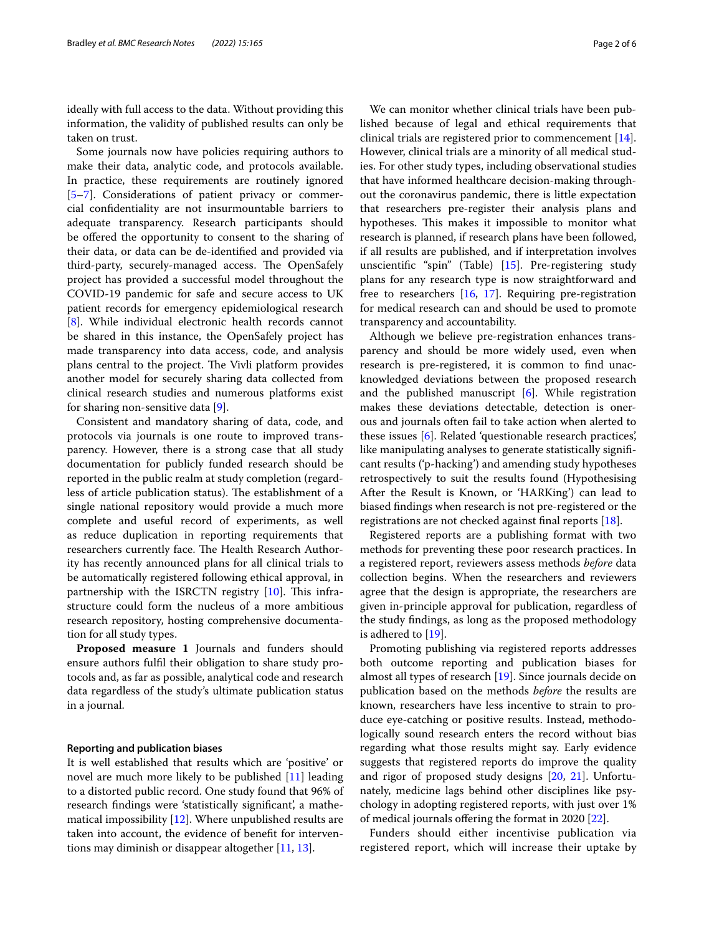ideally with full access to the data. Without providing this information, the validity of published results can only be taken on trust.

Some journals now have policies requiring authors to make their data, analytic code, and protocols available. In practice, these requirements are routinely ignored [[5–](#page-4-4)[7\]](#page-4-5). Considerations of patient privacy or commercial confdentiality are not insurmountable barriers to adequate transparency. Research participants should be offered the opportunity to consent to the sharing of their data, or data can be de-identifed and provided via third-party, securely-managed access. The OpenSafely project has provided a successful model throughout the COVID-19 pandemic for safe and secure access to UK patient records for emergency epidemiological research [[8\]](#page-4-6). While individual electronic health records cannot be shared in this instance, the OpenSafely project has made transparency into data access, code, and analysis plans central to the project. The Vivli platform provides another model for securely sharing data collected from clinical research studies and numerous platforms exist for sharing non-sensitive data [\[9](#page-5-0)].

Consistent and mandatory sharing of data, code, and protocols via journals is one route to improved transparency. However, there is a strong case that all study documentation for publicly funded research should be reported in the public realm at study completion (regardless of article publication status). The establishment of a single national repository would provide a much more complete and useful record of experiments, as well as reduce duplication in reporting requirements that researchers currently face. The Health Research Authority has recently announced plans for all clinical trials to be automatically registered following ethical approval, in partnership with the ISRCTN registry  $[10]$  $[10]$  $[10]$ . This infrastructure could form the nucleus of a more ambitious research repository, hosting comprehensive documentation for all study types.

**Proposed measure 1** Journals and funders should ensure authors fulfl their obligation to share study protocols and, as far as possible, analytical code and research data regardless of the study's ultimate publication status in a journal.

#### **Reporting and publication biases**

It is well established that results which are 'positive' or novel are much more likely to be published [[11\]](#page-5-2) leading to a distorted public record. One study found that 96% of research fndings were 'statistically signifcant', a mathematical impossibility [\[12\]](#page-5-3). Where unpublished results are taken into account, the evidence of beneft for interventions may diminish or disappear altogether [[11,](#page-5-2) [13](#page-5-4)].

We can monitor whether clinical trials have been published because of legal and ethical requirements that clinical trials are registered prior to commencement [\[14](#page-5-5)]. However, clinical trials are a minority of all medical studies. For other study types, including observational studies that have informed healthcare decision-making throughout the coronavirus pandemic, there is little expectation that researchers pre-register their analysis plans and hypotheses. This makes it impossible to monitor what research is planned, if research plans have been followed, if all results are published, and if interpretation involves unscientifc "spin" (Table) [\[15\]](#page-5-6). Pre-registering study plans for any research type is now straightforward and free to researchers [[16](#page-5-7), [17](#page-5-8)]. Requiring pre-registration for medical research can and should be used to promote transparency and accountability.

Although we believe pre-registration enhances transparency and should be more widely used, even when research is pre-registered, it is common to fnd unacknowledged deviations between the proposed research and the published manuscript [[6\]](#page-4-7). While registration makes these deviations detectable, detection is onerous and journals often fail to take action when alerted to these issues [\[6](#page-4-7)]. Related 'questionable research practices', like manipulating analyses to generate statistically signifcant results ('p-hacking') and amending study hypotheses retrospectively to suit the results found (Hypothesising After the Result is Known, or 'HARKing') can lead to biased fndings when research is not pre-registered or the registrations are not checked against fnal reports [[18](#page-5-9)].

Registered reports are a publishing format with two methods for preventing these poor research practices. In a registered report, reviewers assess methods *before* data collection begins. When the researchers and reviewers agree that the design is appropriate, the researchers are given in-principle approval for publication, regardless of the study fndings, as long as the proposed methodology is adhered to [[19\]](#page-5-10).

Promoting publishing via registered reports addresses both outcome reporting and publication biases for almost all types of research [\[19](#page-5-10)]. Since journals decide on publication based on the methods *before* the results are known, researchers have less incentive to strain to produce eye-catching or positive results. Instead, methodologically sound research enters the record without bias regarding what those results might say. Early evidence suggests that registered reports do improve the quality and rigor of proposed study designs [[20](#page-5-11), [21\]](#page-5-12). Unfortunately, medicine lags behind other disciplines like psychology in adopting registered reports, with just over 1% of medical journals ofering the format in 2020 [\[22](#page-5-13)].

Funders should either incentivise publication via registered report, which will increase their uptake by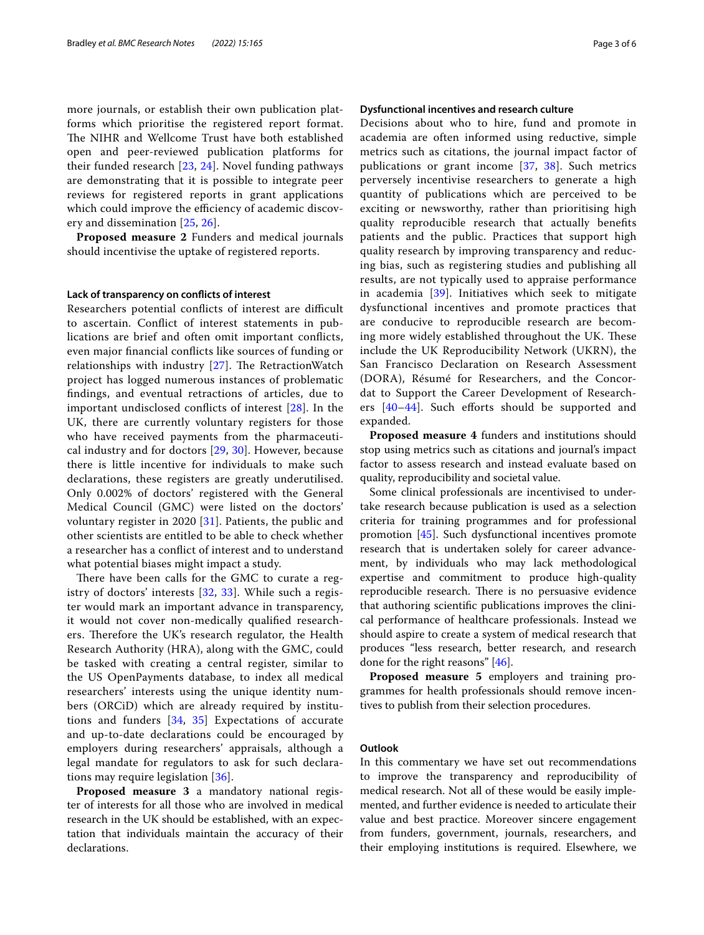more journals, or establish their own publication platforms which prioritise the registered report format. The NIHR and Wellcome Trust have both established open and peer-reviewed publication platforms for their funded research [\[23](#page-5-14), [24\]](#page-5-15). Novel funding pathways are demonstrating that it is possible to integrate peer reviews for registered reports in grant applications which could improve the efficiency of academic discovery and dissemination [\[25,](#page-5-16) [26](#page-5-17)].

**Proposed measure 2** Funders and medical journals should incentivise the uptake of registered reports.

#### **Lack of transparency on conficts of interest**

Researchers potential conflicts of interest are difficult to ascertain. Confict of interest statements in publications are brief and often omit important conficts, even major fnancial conficts like sources of funding or relationships with industry  $[27]$  $[27]$ . The RetractionWatch project has logged numerous instances of problematic fndings, and eventual retractions of articles, due to important undisclosed conficts of interest [[28\]](#page-5-19). In the UK, there are currently voluntary registers for those who have received payments from the pharmaceutical industry and for doctors [[29](#page-5-20), [30](#page-5-21)]. However, because there is little incentive for individuals to make such declarations, these registers are greatly underutilised. Only 0.002% of doctors' registered with the General Medical Council (GMC) were listed on the doctors' voluntary register in 2020 [[31](#page-5-22)]. Patients, the public and other scientists are entitled to be able to check whether a researcher has a confict of interest and to understand what potential biases might impact a study.

There have been calls for the GMC to curate a registry of doctors' interests [\[32](#page-5-23), [33](#page-5-24)]. While such a register would mark an important advance in transparency, it would not cover non-medically qualifed researchers. Therefore the UK's research regulator, the Health Research Authority (HRA), along with the GMC, could be tasked with creating a central register, similar to the US OpenPayments database, to index all medical researchers' interests using the unique identity numbers (ORCiD) which are already required by institutions and funders [[34,](#page-5-25) [35\]](#page-5-26) Expectations of accurate and up-to-date declarations could be encouraged by employers during researchers' appraisals, although a legal mandate for regulators to ask for such declarations may require legislation [[36](#page-5-27)].

**Proposed measure 3** a mandatory national register of interests for all those who are involved in medical research in the UK should be established, with an expectation that individuals maintain the accuracy of their declarations.

#### **Dysfunctional incentives and research culture**

Decisions about who to hire, fund and promote in academia are often informed using reductive, simple metrics such as citations, the journal impact factor of publications or grant income [[37,](#page-5-28) [38](#page-5-29)]. Such metrics perversely incentivise researchers to generate a high quantity of publications which are perceived to be exciting or newsworthy, rather than prioritising high quality reproducible research that actually benefts patients and the public. Practices that support high quality research by improving transparency and reducing bias, such as registering studies and publishing all results, are not typically used to appraise performance in academia [[39](#page-5-30)]. Initiatives which seek to mitigate dysfunctional incentives and promote practices that are conducive to reproducible research are becoming more widely established throughout the UK. These include the UK Reproducibility Network (UKRN), the San Francisco Declaration on Research Assessment (DORA), Résumé for Researchers, and the Concordat to Support the Career Development of Researchers  $[40-44]$  $[40-44]$ . Such efforts should be supported and expanded.

**Proposed measure 4** funders and institutions should stop using metrics such as citations and journal's impact factor to assess research and instead evaluate based on quality, reproducibility and societal value.

Some clinical professionals are incentivised to undertake research because publication is used as a selection criteria for training programmes and for professional promotion [[45\]](#page-5-33). Such dysfunctional incentives promote research that is undertaken solely for career advancement, by individuals who may lack methodological expertise and commitment to produce high-quality reproducible research. There is no persuasive evidence that authoring scientifc publications improves the clinical performance of healthcare professionals. Instead we should aspire to create a system of medical research that produces "less research, better research, and research done for the right reasons" [\[46\]](#page-5-34).

**Proposed measure 5** employers and training programmes for health professionals should remove incentives to publish from their selection procedures.

#### **Outlook**

In this commentary we have set out recommendations to improve the transparency and reproducibility of medical research. Not all of these would be easily implemented, and further evidence is needed to articulate their value and best practice. Moreover sincere engagement from funders, government, journals, researchers, and their employing institutions is required. Elsewhere, we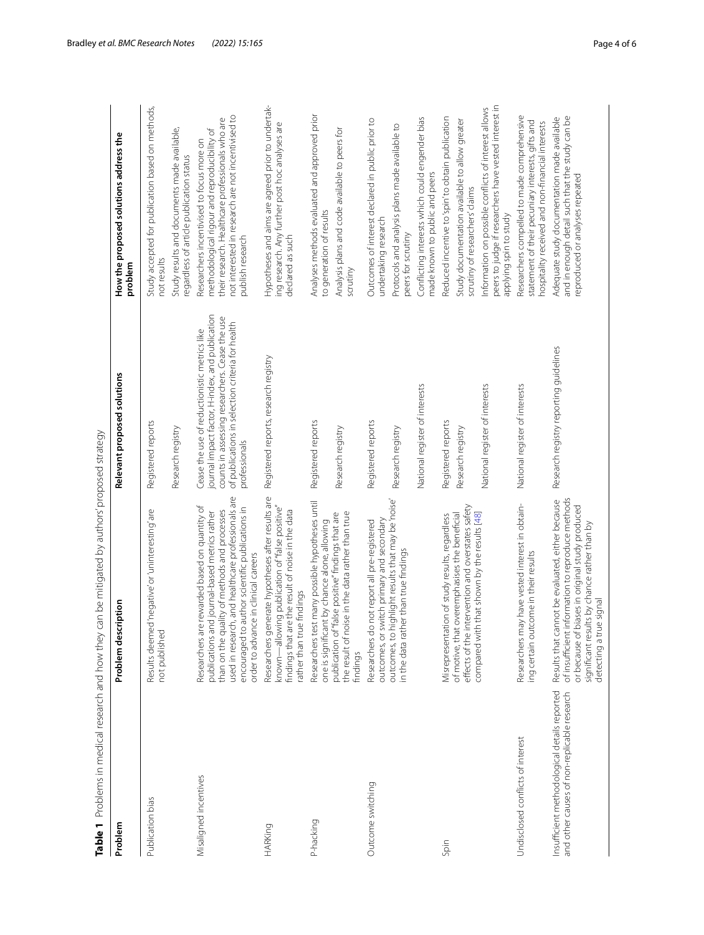|                                                                                             | Table 1 Problems in medical research and how they can be mitigated by authors' proposed strategy                                                                                                                                                                                                |                                                                                                                                                                                                                        |                                                                                                                                                                                                                          |
|---------------------------------------------------------------------------------------------|-------------------------------------------------------------------------------------------------------------------------------------------------------------------------------------------------------------------------------------------------------------------------------------------------|------------------------------------------------------------------------------------------------------------------------------------------------------------------------------------------------------------------------|--------------------------------------------------------------------------------------------------------------------------------------------------------------------------------------------------------------------------|
| Problem                                                                                     | Problem description                                                                                                                                                                                                                                                                             | Relevant proposed solutions                                                                                                                                                                                            | How the proposed solutions address the<br>problem                                                                                                                                                                        |
| Publication bias                                                                            | Results deemed 'negative' or 'uninteresting' are<br>not published                                                                                                                                                                                                                               | Registered reports                                                                                                                                                                                                     | Study accepted for publication based on methods,<br>not results                                                                                                                                                          |
|                                                                                             |                                                                                                                                                                                                                                                                                                 | Research registry                                                                                                                                                                                                      | Study results and documents made available,<br>regardless of article publication status                                                                                                                                  |
| Misaligned incentives                                                                       | used in research, and healthcare professionals are<br>Researchers are rewarded based on quantity of<br>encouraged to author scientific publications in<br>than on the quality of methods and processes<br>publications and journal-based metrics rather<br>order to advance in clinical careers | journal impact factor, H-index, and publication<br>counts in assessing researchers. Cease the use<br>of publications in selection criteria for health<br>Cease the use of reductionistic metrics like<br>professionals | not interested in research are not incentivised to<br>their research. Health care professionals who are<br>methodological rigour and reproducibility of<br>Researchers incentivised to focus more on<br>publish research |
| <b>HARKing</b>                                                                              | Researchers generate hypotheses after results are<br>known—allowing publication of "false positive"<br>are the result of noise in the data<br>rather than true findings<br>findings that                                                                                                        | Registered reports, research registry                                                                                                                                                                                  | Hypotheses and aims are agreed prior to undertak-<br>ing research. Any further post hoc analyses are<br>declared as such                                                                                                 |
| P-hacking                                                                                   | Researchers test many possible hypotheses until<br>one is significant by chance alone, allowing                                                                                                                                                                                                 | Registered reports                                                                                                                                                                                                     | Analyses methods evaluated and approved prior<br>to generation of results                                                                                                                                                |
|                                                                                             | the result of noise in the data rather than true<br>publication of "false positive" findings that are<br>findings                                                                                                                                                                               | Research registry                                                                                                                                                                                                      | Analysis plans and code available to peers for<br>scrutiny                                                                                                                                                               |
| Outcome switching                                                                           | outcomes, or switch primary and secondary<br>Researchers do not report all pre-registered                                                                                                                                                                                                       | Registered reports                                                                                                                                                                                                     | Outcomes of interest declared in public prior to<br>undertaking research                                                                                                                                                 |
|                                                                                             | outcomes, to highlight results that may be 'noise'<br>in the data rather than true findings                                                                                                                                                                                                     | Research registry                                                                                                                                                                                                      | Protocols and analysis plans made available to<br>peers for scrutiny                                                                                                                                                     |
|                                                                                             |                                                                                                                                                                                                                                                                                                 | National register of interests                                                                                                                                                                                         | Conflicting interests which could engender bias<br>made known to public and peers                                                                                                                                        |
| Spin                                                                                        | Misrepresentation of study results, regardless                                                                                                                                                                                                                                                  | Registered reports                                                                                                                                                                                                     | Reduced incentive to 'spin' to obtain publication                                                                                                                                                                        |
|                                                                                             | effects of the intervention and overstates safety<br>of motive, that overemphasises the beneficial                                                                                                                                                                                              | Research registry                                                                                                                                                                                                      | Study documentation available to allow greater<br>scrutiny of researchers' claims                                                                                                                                        |
|                                                                                             | compared with that shown by the results [48]                                                                                                                                                                                                                                                    | National register of interests                                                                                                                                                                                         | peers to judge if researchers have vested interest in<br>Information on possible conflicts of interest allows<br>applying spin to study                                                                                  |
| Undisclosed conflicts of interest                                                           | Researchers may have vested interest in obtain-<br>ing certain outcome in their results                                                                                                                                                                                                         | National register of interests                                                                                                                                                                                         | Researchers compelled to made comprehensive<br>statement of their pecuniary interests, gifts and<br>hospitality received and non-financial interests                                                                     |
| Insufficient methodological details reported<br>and other causes of non-replicable research | information to reproduce methods<br>Results that cannot be evaluated, either because<br>or because of biases in original study produced<br>significant results by chance rather than by<br>detecting a true signal<br>of insufficient                                                           | Research registry reporting guidelines                                                                                                                                                                                 | and in enough detail such that the study can be<br>Adequate study documentation made available<br>reproduced or analyses repeated                                                                                        |

<span id="page-3-0"></span>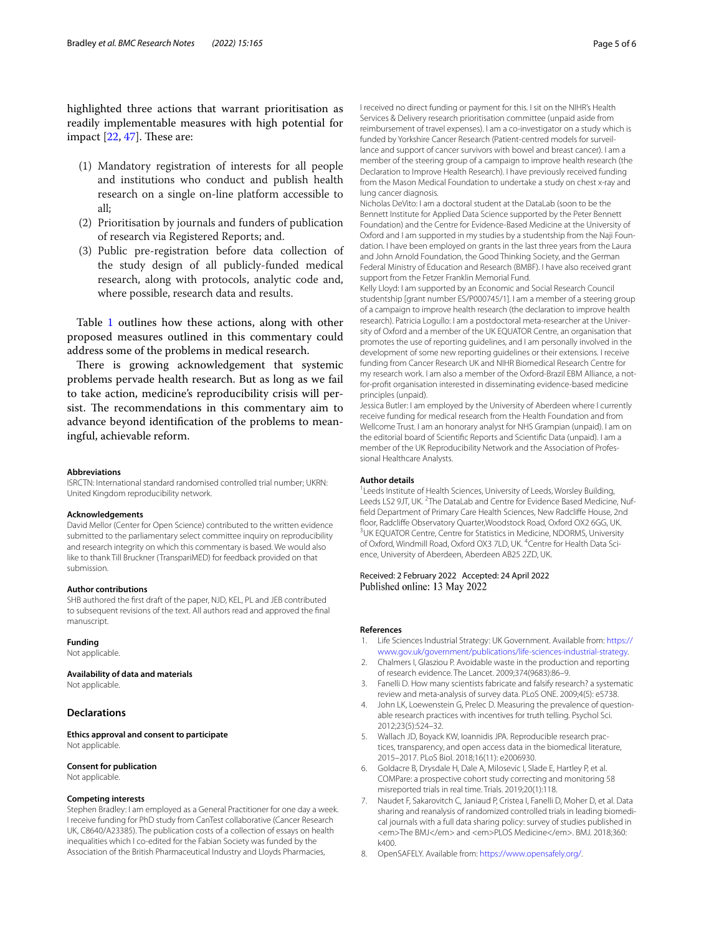highlighted three actions that warrant prioritisation as readily implementable measures with high potential for impact  $[22, 47]$  $[22, 47]$  $[22, 47]$  $[22, 47]$ . These are:

- (1) Mandatory registration of interests for all people and institutions who conduct and publish health research on a single on-line platform accessible to all;
- (2) Prioritisation by journals and funders of publication of research via Registered Reports; and.
- (3) Public pre-registration before data collection of the study design of all publicly-funded medical research, along with protocols, analytic code and, where possible, research data and results.

Table [1](#page-3-0) outlines how these actions, along with other proposed measures outlined in this commentary could address some of the problems in medical research.

There is growing acknowledgement that systemic problems pervade health research. But as long as we fail to take action, medicine's reproducibility crisis will persist. The recommendations in this commentary aim to advance beyond identifcation of the problems to meaningful, achievable reform.

#### **Abbreviations**

ISRCTN: International standard randomised controlled trial number; UKRN: United Kingdom reproducibility network.

#### **Acknowledgements**

David Mellor (Center for Open Science) contributed to the written evidence submitted to the parliamentary select committee inquiry on reproducibility and research integrity on which this commentary is based. We would also like to thank Till Bruckner (TranspariMED) for feedback provided on that submission.

#### **Author contributions**

SHB authored the frst draft of the paper, NJD, KEL, PL and JEB contributed to subsequent revisions of the text. All authors read and approved the fnal manuscript.

#### **Funding**

Not applicable.

#### **Availability of data and materials**

Not applicable.

#### **Declarations**

**Ethics approval and consent to participate** Not applicable.

#### **Consent for publication**

Not applicable.

#### **Competing interests**

Stephen Bradley: I am employed as a General Practitioner for one day a week. I receive funding for PhD study from CanTest collaborative (Cancer Research UK, C8640/A23385). The publication costs of a collection of essays on health inequalities which I co-edited for the Fabian Society was funded by the Association of the British Pharmaceutical Industry and Lloyds Pharmacies,

I received no direct funding or payment for this. I sit on the NIHR's Health Services & Delivery research prioritisation committee (unpaid aside from reimbursement of travel expenses). I am a co-investigator on a study which is funded by Yorkshire Cancer Research (Patient-centred models for surveillance and support of cancer survivors with bowel and breast cancer). I am a member of the steering group of a campaign to improve health research (the Declaration to Improve Health Research). I have previously received funding from the Mason Medical Foundation to undertake a study on chest x-ray and lung cancer diagnosis.

Nicholas DeVito: I am a doctoral student at the DataLab (soon to be the Bennett Institute for Applied Data Science supported by the Peter Bennett Foundation) and the Centre for Evidence-Based Medicine at the University of Oxford and I am supported in my studies by a studentship from the Naji Foundation. I have been employed on grants in the last three years from the Laura and John Arnold Foundation, the Good Thinking Society, and the German Federal Ministry of Education and Research (BMBF). I have also received grant support from the Fetzer Franklin Memorial Fund.

Kelly Lloyd: I am supported by an Economic and Social Research Council studentship [grant number ES/P000745/1]. I am a member of a steering group of a campaign to improve health research (the declaration to improve health research). Patricia Logullo: I am a postdoctoral meta-researcher at the University of Oxford and a member of the UK EQUATOR Centre, an organisation that promotes the use of reporting guidelines, and I am personally involved in the development of some new reporting guidelines or their extensions. I receive funding from Cancer Research UK and NIHR Biomedical Research Centre for my research work. I am also a member of the Oxford-Brazil EBM Alliance, a notfor-proft organisation interested in disseminating evidence-based medicine principles (unpaid).

Jessica Butler: I am employed by the University of Aberdeen where I currently receive funding for medical research from the Health Foundation and from Wellcome Trust. I am an honorary analyst for NHS Grampian (unpaid). I am on the editorial board of Scientifc Reports and Scientifc Data (unpaid). I am a member of the UK Reproducibility Network and the Association of Professional Healthcare Analysts.

#### **Author details**

<sup>1</sup> Leeds Institute of Health Sciences, University of Leeds, Worsley Building, Leeds LS2 9JT, UK. <sup>2</sup>The DataLab and Centre for Evidence Based Medicine, Nuffeld Department of Primary Care Health Sciences, New Radclife House, 2nd floor, Radcliffe Observatory Quarter, Woodstock Road, Oxford OX2 6GG, UK. <sup>3</sup>UK EQUATOR Centre, Centre for Statistics in Medicine, NDORMS, University of Oxford, Windmill Road, Oxford OX3 7LD, UK. <sup>4</sup>Centre for Health Data Science, University of Aberdeen, Aberdeen AB25 2ZD, UK.

#### Received: 2 February 2022 Accepted: 24 April 2022 Published online: 13 May 2022

#### **References**

- <span id="page-4-0"></span>1. Life Sciences Industrial Strategy: UK Government. Available from: [https://](https://www.gov.uk/government/publications/life-sciences-industrial-strategy) [www.gov.uk/government/publications/life-sciences-industrial-strategy.](https://www.gov.uk/government/publications/life-sciences-industrial-strategy)
- <span id="page-4-1"></span>2. Chalmers I, Glasziou P. Avoidable waste in the production and reporting of research evidence. The Lancet. 2009;374(9683):86–9.
- <span id="page-4-2"></span>3. Fanelli D. How many scientists fabricate and falsify research? a systematic review and meta-analysis of survey data. PLoS ONE. 2009;4(5): e5738.
- <span id="page-4-3"></span>4. John LK, Loewenstein G, Prelec D. Measuring the prevalence of questionable research practices with incentives for truth telling. Psychol Sci. 2012;23(5):524–32.
- <span id="page-4-4"></span>5. Wallach JD, Boyack KW, Ioannidis JPA. Reproducible research practices, transparency, and open access data in the biomedical literature, 2015–2017. PLoS Biol. 2018;16(11): e2006930.
- <span id="page-4-7"></span>6. Goldacre B, Drysdale H, Dale A, Milosevic I, Slade E, Hartley P, et al. COMPare: a prospective cohort study correcting and monitoring 58 misreported trials in real time. Trials. 2019;20(1):118.
- <span id="page-4-5"></span>7. Naudet F, Sakarovitch C, Janiaud P, Cristea I, Fanelli D, Moher D, et al. Data sharing and reanalysis of randomized controlled trials in leading biomedical journals with a full data sharing policy: survey of studies published in <em>The BMJ</em> and <em>PLOS Medicine</em>. BMJ. 2018;360: k400.
- <span id="page-4-6"></span>8. OpenSAFELY. Available from: [https://www.opensafely.org/.](https://www.opensafely.org/)